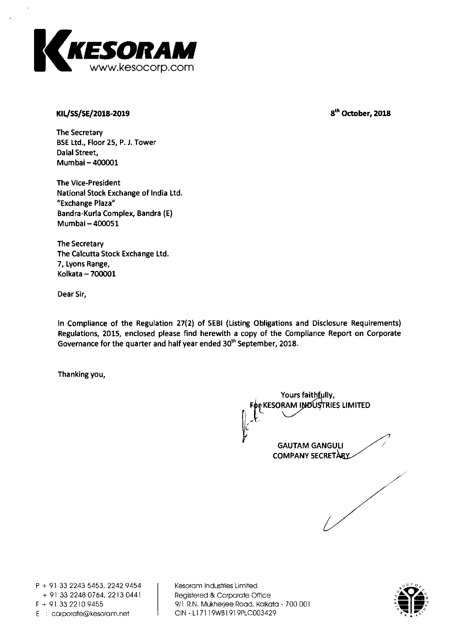

# **KIL/SS/SE/2018-2019 8th October, 2018**

**The Secretary BSE Ltd., Floor 25, P. J. Tower Dalal Street, Mumbai —400001** 

**The Vice-President National Stock Exchange of India Ltd. "Exchange Plaza" Bandra-Kurla Complex, Bandra (E) Mumbai— 400051** 

**The Secretary The Calcutta Stock Exchange Ltd. 7, Lyons Range, Kolkata — 700001** 

**Dear Sir,** 

**In Compliance of the Regulation 27(2) of SEBI (Listing Obligations and Disclosure Requirements) Regulations, 2015, enclosed please find herewith a copy of the Compliance Report on Corporate Governance for the quarter and half year ended 30 th September, 2018.** 

**Thanking you,** 

Yours faith fully, **KESORAM INDUSTRIES LIMITED GAUTAM GANGULI COMPANY SECRETARY** 

**P + 91 33 2243 5453, 2242 9454 + 91 33 2248 0764, 2213 0441 E** : carporate@kesoram.net

**Kesoram Industries Limited Registered & Corporate Office F + 91 33 2210 9455 9/1 R.N. Mukherjee Road, Kolkata - 700 001** 

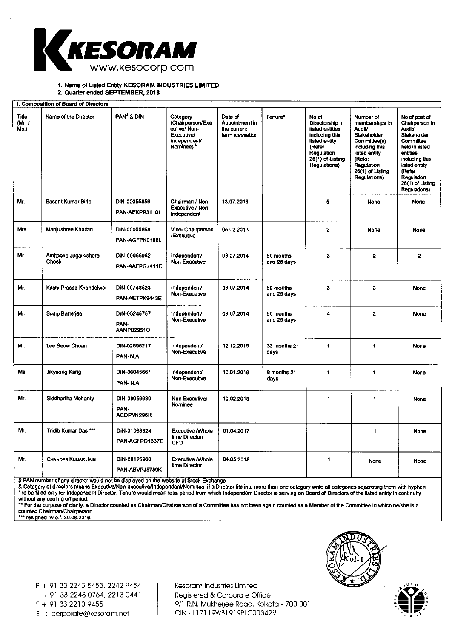

**1. Name of** Listed Entity KESORAM INDUSTRIES LIMITED

2. Quarter ended SEPTEMBER, 2018

| I. Composition of Board of Directors |                                |                                    |                                                                                                     |                                                             |                          |                                                                                                                                              |                                                                                                                                                                            |                                                                                                                                                                                                    |
|--------------------------------------|--------------------------------|------------------------------------|-----------------------------------------------------------------------------------------------------|-------------------------------------------------------------|--------------------------|----------------------------------------------------------------------------------------------------------------------------------------------|----------------------------------------------------------------------------------------------------------------------------------------------------------------------------|----------------------------------------------------------------------------------------------------------------------------------------------------------------------------------------------------|
| Title<br>(Mr. I)<br>Ms.)             | Name of the Director           | PAN <sup>\$</sup> & DIN            | Category<br>(Chairperson/Exe<br>cutive/ Non-<br>Executive/<br>independent/<br>Nominee) <sup>8</sup> | Date of<br>Appointment in<br>the current<br>term /cessation | Tenure*                  | No of<br>Directorship in<br>listed entities<br>including this<br>iisted entity<br>(Refer<br>Regulation<br>$25(1)$ of Listing<br>Regulations) | Number of<br>memberships in<br>Audit/<br><b>Stakeholder</b><br>Committee(s)<br>including this<br>iisted entity<br>(Refer<br>Regulation<br>26(1) of Listing<br>Regulations) | No of post of<br>Chairperson in<br>Audit/<br>Stakeholder<br>Committee<br>held in iisted<br>entities<br>including this<br>listed entity<br>(Refer<br>Regulation<br>26(1) of Listing<br>Regulations) |
| Mr.                                  | Basant Kumar Birla             | DIN-00055856<br>PAN-AEKPB3110L     | Chairman / Non-<br>Executive / Non<br>Independent                                                   | 13.07.2018                                                  |                          | 5                                                                                                                                            | None                                                                                                                                                                       | None                                                                                                                                                                                               |
| Mrs.                                 | Manjushree Khaitan             | DiN-00055898<br>PAN-AGFPK0198L     | Vice-Chairperson<br>/Executive                                                                      | 05.02.2013                                                  |                          | $\overline{2}$                                                                                                                               | None                                                                                                                                                                       | None                                                                                                                                                                                               |
| Mr.                                  | Amitabha Jugaikishore<br>Ghosh | DIN-00055962<br>PAN-AAFPG7411C     | independent/<br>Non-Executive                                                                       | 08.07.2014                                                  | 50 months<br>and 25 days | 3                                                                                                                                            | $\mathbf{2}$                                                                                                                                                               | $\overline{2}$                                                                                                                                                                                     |
| Mr.                                  | Kashi Prasad Khandelwai        | DiN-00748523<br>PAN-AETPK9443E     | independent/<br>Non-Executive                                                                       | 08.07.2014                                                  | 50 months<br>and 25 days | $\overline{\mathbf{3}}$                                                                                                                      | 3                                                                                                                                                                          | <b>None</b>                                                                                                                                                                                        |
| Mr.                                  | Sudip Banerjee                 | DiN-05245757<br>PAN-<br>AANPB2951Q | independent/<br>Non-Executive                                                                       | 08.07.2014                                                  | 50 months<br>and 25 days | 4                                                                                                                                            | $\mathbf{z}$                                                                                                                                                               | <b>None</b>                                                                                                                                                                                        |
| Mr.                                  | Lee Seow Chuan                 | DIN-02696217<br>PAN-N.A.           | independent/<br>Non-Executive                                                                       | 12.12.2015                                                  | 33 months 21<br>days     | 1                                                                                                                                            | 1                                                                                                                                                                          | None                                                                                                                                                                                               |
| Ms.                                  | Jikyeong Kang                  | DiN-06045661<br>PAN-N.A.           | Independent/<br>Non-Executive                                                                       | 10.01.2016                                                  | 8 months 21<br>days      | 1                                                                                                                                            | 1                                                                                                                                                                          | None                                                                                                                                                                                               |
| Mr.                                  | <b>Siddhartha Mohanty</b>      | DIN-08056630<br>PAN-<br>ACDPM1296R | Non Executive/<br>Nominee                                                                           | 10.02.2018                                                  |                          | 1                                                                                                                                            | 1                                                                                                                                                                          | None                                                                                                                                                                                               |
| Mr.                                  | Tridib Kumar Das ***           | DiN-01063824<br>PAN-AGFPD1367E     | <b>Executive / Vihoie</b><br>time Director/<br><b>CFD</b>                                           | 01.04.2017                                                  |                          | 1                                                                                                                                            | 1                                                                                                                                                                          | None                                                                                                                                                                                               |
| Mr.                                  | <b>CHANDER KUMAR JAIN</b>      | DiN-08125968<br>PAN-ABVPJ5759K     | <b>Executive / Whole</b><br>time Director                                                           | 04.05.2018                                                  |                          | 1                                                                                                                                            | None                                                                                                                                                                       | None                                                                                                                                                                                               |

\$ PAN number of any director would not be displayed on the website of Stock Exchange<br>& Category of directors means Executive/Non-executive/Independent/Nominee. if a Director fits into more than one category write ail categ ' to be filled only for Independent Director. Tenure would mean total period from which Independent Director is serving on Board of Directors of the listed entity in continuity without any cooling off period.

\*\* For the purpose of clarity, a Director counted as Chairman/Chairperson of a Committee has not been again counted as a Member of the Committee in which he/she is a counted Chairman/Chairperson. ••• resigned w.e.f. 30.08.2018.

Kesoram Industries Limited Registered & Corporate Office F + 91 33 2210 9455 9/1 R.N. Mukherjee Road, Kolkata - 700 001<br>E : corporate@kesoram.net CIN - L17119WB1919PLC003429



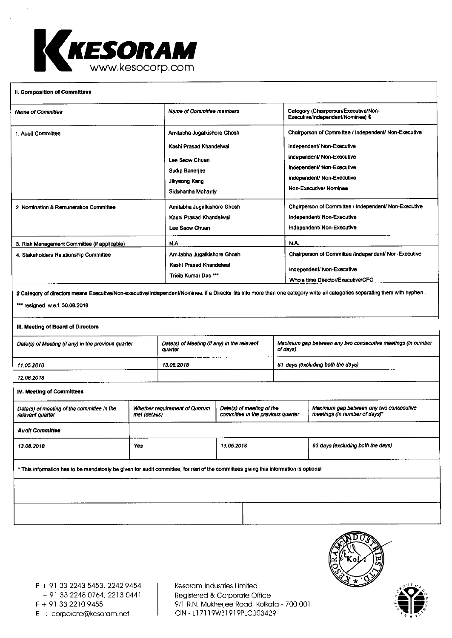

#### **II. Composition of Committees**

| <b>Name of Committee</b>                                                               | Name of Committee members                                                                                                         | Category (Chairperson/Executive/Non-<br>Executive/independent/Nominee) \$                                                                                                                              |  |
|----------------------------------------------------------------------------------------|-----------------------------------------------------------------------------------------------------------------------------------|--------------------------------------------------------------------------------------------------------------------------------------------------------------------------------------------------------|--|
| 1. Audit Committee                                                                     | Amitabha Jugaikishore Ghosh<br>Kashi Prasad Khandelwai<br>Lee Seow Chuan<br>Sudip Banerjee<br>Jikyeong Kang<br>Siddhartha Mohanty | Chairperson of Committee / Independent/ Non-Executive<br>independent/ Non-Executive<br>Independent/ Non-Executive<br>independent/ Non-Executive<br>independent/ Non-Executive<br>Non-Executive/Nominee |  |
| 2. Nomination & Remuneration Committee                                                 | Amitabha Jugalkishore Ghosh<br>Kashi Prasad Khandelwal<br>Lee Seow Chuan                                                          | Chairperson of Committee / Independent/ Non-Executive<br>independent/ Non-Executive<br>Independent/ Non-Executive                                                                                      |  |
| 3. Risk Management Committee (if applicable)<br>4. Stakeholders Relationship Committee | N.A.<br>Amitabha Jugaikishore Ghosh<br>Kashi Prasad Khandeiwal<br>Tridib Kumar Das ***                                            | N.A.<br>Chairperson of Committee /Independent/ Non-Executive<br>Independent/ Non-Executive<br>Whoie time Director/Executive/CFO                                                                        |  |
|                                                                                        |                                                                                                                                   |                                                                                                                                                                                                        |  |

 $$$  Category of directors means Executive/Non-executive/Independent/Nominee. if a Director fits into more than one category write ail categories separating them with hyphen .

### \*\*\* resigned w.e.f. 30.08.2018

#### **111. Meeting of Board of Directors**

| Date(s) of Meeting (if any) in the previous quarter | Date(s) of Meeting (if any) in the relevant<br>ouarter | Maximum gap between any two consecutive meetings (in number<br>of davs) |
|-----------------------------------------------------|--------------------------------------------------------|-------------------------------------------------------------------------|
| 11.05.2018                                          | 13.08.2018                                             | 61 days (excluding both the days)                                       |
| 12.06.2018                                          |                                                        |                                                                         |

#### **IV. Meeting of Committees**

| Date(s) of meeting of the committee in the<br>relevant quarter                                                                        | Whether requirement of Quorum<br>met (details) | Date(s) of meeting of the<br>committee in the previous quarter | Maximum gap between any two consecutive<br>meetings (in number of days)* |  |  |
|---------------------------------------------------------------------------------------------------------------------------------------|------------------------------------------------|----------------------------------------------------------------|--------------------------------------------------------------------------|--|--|
| <b>Audit Committee</b>                                                                                                                |                                                |                                                                |                                                                          |  |  |
| 13.08.2018                                                                                                                            | Yes                                            | 11.05.2018                                                     | 93 days (excluding both the days)                                        |  |  |
| * This information has to be mandatorily be given for audit committee, for rest of the committees giving this information is optional |                                                |                                                                |                                                                          |  |  |
|                                                                                                                                       |                                                |                                                                |                                                                          |  |  |

P + 91 33 2243 5453, 2242 9454 + 91 33 2248 0764, 2213 0441 E : corporate@kesoram.net

Kesoram Industries Limited Registered & Corporate Office F + 91 33 2210 9455 9/1 R.N. Mukherjee Road, Kolkata - 700 001<br>E : corporate@kesoram.net CIN - L17119WB1919PLC003429



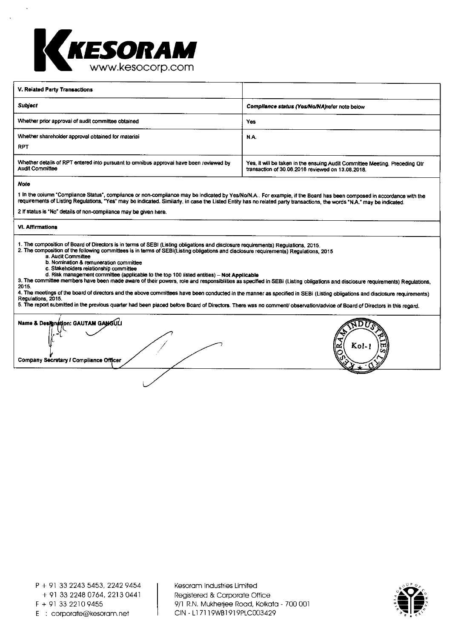

| V. Reiated Party Transactions                                                                                    |                                                                                                                                  |
|------------------------------------------------------------------------------------------------------------------|----------------------------------------------------------------------------------------------------------------------------------|
| <b>Subject</b>                                                                                                   | Compliance status (Yes/No/NA)refer note below                                                                                    |
| Whether prior approval of audit committee obtained                                                               | Yes                                                                                                                              |
| Whether shareholder approval obtained for material<br><b>RPT</b>                                                 | N.A.                                                                                                                             |
| Whether details of RPT entered into pursuant to omnibus approval have been reviewed by<br><b>Audit Committee</b> | Yes, it will be taken in the ensuing Audit Committee Meeting. Preceding Qtr<br>transaction of 30.06.2016 reviewed on 13.08.2018. |

#### **Note**

1 In the column 'Compliance Status', compliance or non-compliance may be indicated by Yes/No/N.A.. For example, if the Board has been composed in accordance with the requirements of Listing Regulations, "Yes" may be indicated. Similarly, in case the Listed Entity has no related party transactions, the words 'NA? may be indicated.

2 If status is 'No' details of non-compliance may be given here.

#### **VI. Affirmations**

**1.** The composition of Board of Directors is in terms of SEBI (Listing obligations and disclosure requirements) Regulations, 2015.

2. The composition of the following committees is in terms of SEBI(Listing obligations and disclosure requirements) Regulations, 2015

- a. Audit Committee
- b. Nomination & remuneration committee c. Stakeholders relationship committee
- d. Risk management committee (applicable to the top 100 listed entities) **Not Applicable**
- 3. The committee members have been made aware of their powers, role and responsibilities as specified in SEBI (Listing obligations and disclosure requirements) Regulations,

2015.

4. The meetings of the board of directors and the above committees have been conducted in the manner as specified in SEBi (Listing obiigations and disclosure requirements<br>Regulations, 2015.

10 Submitted in the previous quarter had been placed before Board of Directors. There was no comment/ observation/advice of Board of Directors in this regard.

 $\blacksquare$  Name & Designation: GAUTAM GANGULI /  $\mathcal{I}/\mathcal{I}$   $\mathcal{I}/\mathcal{I}$ 1:4 Kohl **<sup>t</sup>r<sup>l</sup>** (ift  $c_{\eta}$ **Company Secretary / Compliance Officer** 

P + 91 33 2243 5453, 2242 9454 + 91 33 2248 0764, 2213 0441 F + 91 33 2210 9455 E : corporate@kesoram.net

Kesoram Industries Limited Registered & Corporate Office 9/1 R.N. Mukherjee Road, Kolkata - 700 001 CIN - Ll 7119WB1919PLC003429